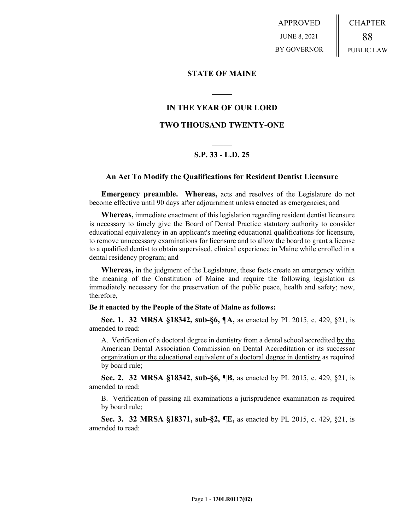APPROVED JUNE 8, 2021 BY GOVERNOR CHAPTER 88 PUBLIC LAW

### **STATE OF MAINE**

## **IN THE YEAR OF OUR LORD**

**\_\_\_\_\_**

## **TWO THOUSAND TWENTY-ONE**

# **\_\_\_\_\_ S.P. 33 - L.D. 25**

### **An Act To Modify the Qualifications for Resident Dentist Licensure**

**Emergency preamble. Whereas,** acts and resolves of the Legislature do not become effective until 90 days after adjournment unless enacted as emergencies; and

**Whereas,** immediate enactment of this legislation regarding resident dentist licensure is necessary to timely give the Board of Dental Practice statutory authority to consider educational equivalency in an applicant's meeting educational qualifications for licensure, to remove unnecessary examinations for licensure and to allow the board to grant a license to a qualified dentist to obtain supervised, clinical experience in Maine while enrolled in a dental residency program; and

**Whereas,** in the judgment of the Legislature, these facts create an emergency within the meaning of the Constitution of Maine and require the following legislation as immediately necessary for the preservation of the public peace, health and safety; now, therefore,

#### **Be it enacted by the People of the State of Maine as follows:**

**Sec. 1. 32 MRSA §18342, sub-§6, ¶A,** as enacted by PL 2015, c. 429, §21, is amended to read:

A. Verification of a doctoral degree in dentistry from a dental school accredited by the American Dental Association Commission on Dental Accreditation or its successor organization or the educational equivalent of a doctoral degree in dentistry as required by board rule;

**Sec. 2. 32 MRSA §18342, sub-§6, ¶B,** as enacted by PL 2015, c. 429, §21, is amended to read:

B. Verification of passing all examinations a jurisprudence examination as required by board rule;

**Sec. 3. 32 MRSA §18371, sub-§2, ¶E,** as enacted by PL 2015, c. 429, §21, is amended to read: